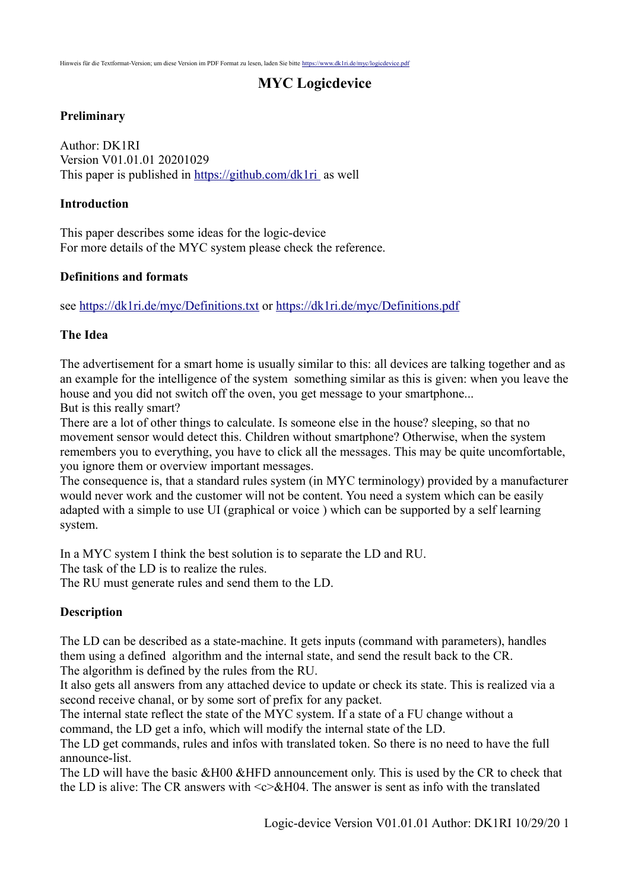## **MYC Logicdevice**

### **Preliminary**

Author: DK1RI Version V01.01.01 20201029 This paper is published in<https://github.com/dk1ri>as well

#### **Introduction**

This paper describes some ideas for the logic-device For more details of the MYC system please check the reference.

### **Definitions and formats**

see<https://dk1ri.de/myc/Definitions.txt>or<https://dk1ri.de/myc/Definitions.pdf>

### **The Idea**

The advertisement for a smart home is usually similar to this: all devices are talking together and as an example for the intelligence of the system something similar as this is given: when you leave the house and you did not switch off the oven, you get message to your smartphone... But is this really smart?

There are a lot of other things to calculate. Is someone else in the house? sleeping, so that no movement sensor would detect this. Children without smartphone? Otherwise, when the system remembers you to everything, you have to click all the messages. This may be quite uncomfortable, you ignore them or overview important messages.

The consequence is, that a standard rules system (in MYC terminology) provided by a manufacturer would never work and the customer will not be content. You need a system which can be easily adapted with a simple to use UI (graphical or voice ) which can be supported by a self learning system.

In a MYC system I think the best solution is to separate the LD and RU.

The task of the LD is to realize the rules.

The RU must generate rules and send them to the LD.

### **Description**

The LD can be described as a state-machine. It gets inputs (command with parameters), handles them using a defined algorithm and the internal state, and send the result back to the CR. The algorithm is defined by the rules from the RU.

It also gets all answers from any attached device to update or check its state. This is realized via a second receive chanal, or by some sort of prefix for any packet.

The internal state reflect the state of the MYC system. If a state of a FU change without a command, the LD get a info, which will modify the internal state of the LD.

The LD get commands, rules and infos with translated token. So there is no need to have the full announce-list.

The LD will have the basic &H00 &HFD announcement only. This is used by the CR to check that the LD is alive: The CR answers with  $\langle c \rangle \& H04$ . The answer is sent as info with the translated